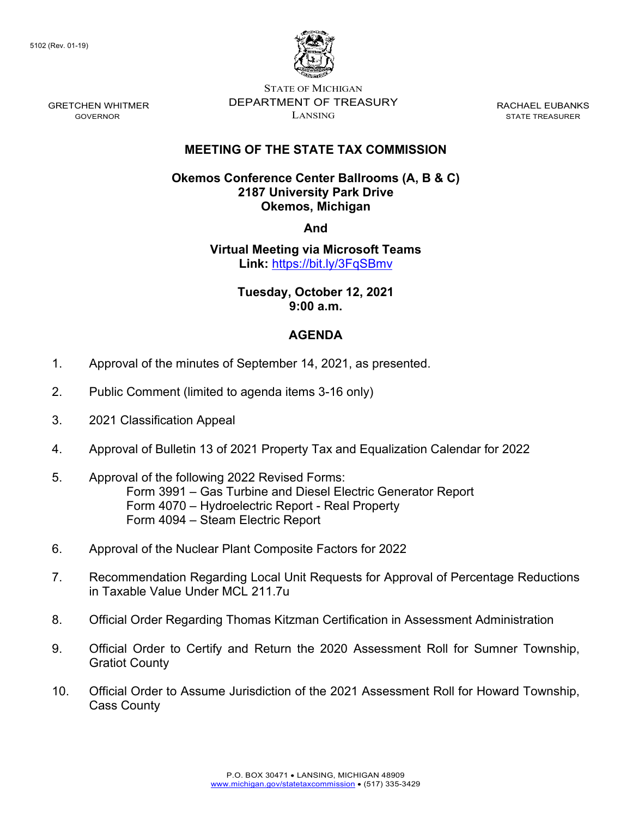

STATE OF MICHIGAN DEPARTMENT OF TREASURY LANSING

RACHAEL EUBANKS STATE TREASURER

# **MEETING OF THE STATE TAX COMMISSION**

### **Okemos Conference Center Ballrooms (A, B & C) 2187 University Park Drive Okemos, Michigan**

**And**

### **Virtual Meeting via Microsoft Teams Link:** [https://bit.ly/3FqSBmv](https://gcc02.safelinks.protection.outlook.com/?url=https%3A%2F%2Fbit.ly%2F3FqSBmv&data=04%7C01%7CDensteadtL%40michigan.gov%7C1e42305d23fd4e4f220d08d987385127%7Cd5fb7087377742ad966a892ef47225d1%7C0%7C0%7C637689498213098142%7CUnknown%7CTWFpbGZsb3d8eyJWIjoiMC4wLjAwMDAiLCJQIjoiV2luMzIiLCJBTiI6Ik1haWwiLCJXVCI6Mn0%3D%7C1000&sdata=oqqkdBOwjDH%2B0t%2B69VYQ2y8Rl5KYasnA2iSjpdOYprw%3D&reserved=0)

### **Tuesday, October 12, 2021 9:00 a.m.**

# **AGENDA**

- 1. Approval of the minutes of September 14, 2021, as presented.
- 2. Public Comment (limited to agenda items 3-16 only)
- 3. 2021 Classification Appeal
- 4. Approval of Bulletin 13 of 2021 Property Tax and Equalization Calendar for 2022
- 5. Approval of the following 2022 Revised Forms: Form 3991 – Gas Turbine and Diesel Electric Generator Report Form 4070 – Hydroelectric Report - Real Property Form 4094 – Steam Electric Report
- 6. Approval of the Nuclear Plant Composite Factors for 2022
- 7. Recommendation Regarding Local Unit Requests for Approval of Percentage Reductions in Taxable Value Under MCL 211.7u
- 8. Official Order Regarding Thomas Kitzman Certification in Assessment Administration
- 9. Official Order to Certify and Return the 2020 Assessment Roll for Sumner Township, Gratiot County
- 10. Official Order to Assume Jurisdiction of the 2021 Assessment Roll for Howard Township, Cass County

GRETCHEN WHITMER GOVERNOR